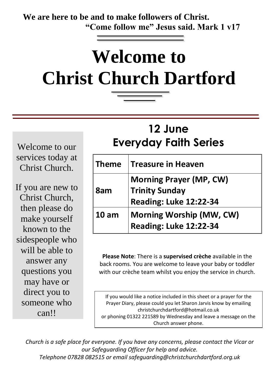**We are here to be and to make followers of Christ. "Come follow me" Jesus said. Mark 1 v17**

# **Welcome to Christ Church Dartford**

## **12 June Everyday Faith Series**

Welcome to our services today at Christ Church.

If you are new to Christ Church, then please do make yourself known to the sidespeople who will be able to answer any questions you may have or direct you to someone who can!!

| <b>Theme</b>     | <b>Treasure in Heaven</b>                                                                |
|------------------|------------------------------------------------------------------------------------------|
| 8am              | <b>Morning Prayer (MP, CW)</b><br><b>Trinity Sunday</b><br><b>Reading: Luke 12:22-34</b> |
| 10 <sub>am</sub> | <b>Morning Worship (MW, CW)</b><br><b>Reading: Luke 12:22-34</b>                         |

**Please Note**: There is a **supervised crèche** available in the back rooms. You are welcome to leave your baby or toddler with our crèche team whilst you enjoy the service in church.

If you would like a notice included in this sheet or a prayer for the Prayer Diary, please could you let Sharon Jarvis know by emailing christchurchdartford@hotmail.co.uk or phoning 01322 221589 by Wednesday and leave a message on the Church answer phone.

*Church is a safe place for everyone. If you have any concerns, please contact the Vicar or our Safeguarding Officer for help and advice. Telephone 07828 082515 or email safeguarding@christchurchdartford.org.uk*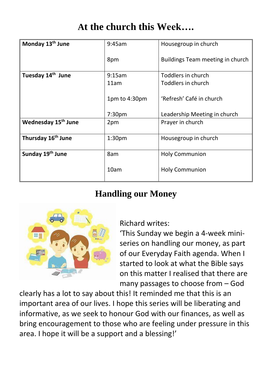## **At the church this Week….**

| Monday 13 <sup>th</sup> June    | 9:45am             | Housegroup in church             |
|---------------------------------|--------------------|----------------------------------|
|                                 | 8pm                | Buildings Team meeting in church |
| Tuesday 14 <sup>th</sup> June   | 9:15am             | Toddlers in church               |
|                                 | 11am               | Toddlers in church               |
|                                 | 1pm to 4:30pm      | 'Refresh' Café in church         |
|                                 | 7:30 <sub>pm</sub> | Leadership Meeting in church     |
| Wednesday 15 <sup>th</sup> June | 2pm                | Prayer in church                 |
| Thursday 16 <sup>th</sup> June  | 1:30 <sub>pm</sub> | Housegroup in church             |
| Sunday 19 <sup>th</sup> June    | 8am                | <b>Holy Communion</b>            |
|                                 | 10am               | <b>Holy Communion</b>            |

#### **Handling our Money**



Richard writes:

'This Sunday we begin a 4-week miniseries on handling our money, as part of our Everyday Faith agenda. When I started to look at what the Bible says on this matter I realised that there are many passages to choose from – God

clearly has a lot to say about this! It reminded me that this is an important area of our lives. I hope this series will be liberating and informative, as we seek to honour God with our finances, as well as bring encouragement to those who are feeling under pressure in this area. I hope it will be a support and a blessing!'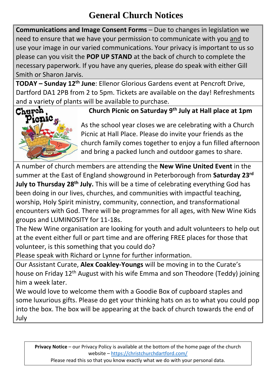### **General Church Notices**

**Communications and Image Consent Forms** – Due to changes in legislation we need to ensure that we have your permission to communicate with you and to use your image in our varied communications. Your privacy is important to us so please can you visit the **POP UP STAND** at the back of church to complete the necessary paperwork. If you have any queries, please do speak with either Gill Smith or Sharon Jarvis.

**TODAY – Sunday 12th June**: Ellenor Glorious Gardens event at Pencroft Drive, Dartford DA1 2PB from 2 to 5pm. Tickets are available on the day! Refreshments and a variety of plants will be available to purchase.



#### **Church Picnic on Saturday 9th July at Hall place at 1pm**

As the school year closes we are celebrating with a Church Picnic at Hall Place. Please do invite your friends as the church family comes together to enjoy a fun filled afternoon and bring a packed lunch and outdoor games to share.

A number of church members are attending the **New Wine United Event** in the summer at the East of England showground in Peterborough from **Saturday 23rd July to Thursday 28th July.** This will be a time of celebrating everything God has been doing in our lives, churches, and communities with impactful teaching, worship, Holy Spirit ministry, community, connection, and transformational encounters with God. There will be programmes for all ages, with New Wine Kids groups and LUMINOSITY for 11-18s.

The New Wine organisation are looking for youth and adult volunteers to help out at the event either full or part time and are offering FREE places for those that volunteer, is this something that you could do?

Please speak with Richard or Lynne for further information.

Our Assistant Curate, **Alex Coakley-Youngs** will be moving in to the Curate's house on Friday 12th August with his wife Emma and son Theodore (Teddy) joining him a week later.

We would love to welcome them with a Goodie Box of cupboard staples and some luxurious gifts. Please do get your thinking hats on as to what you could pop into the box. The box will be appearing at the back of church towards the end of July

**Privacy Notice** – our Privacy Policy is available at the bottom of the home page of the church website – <https://christchurchdartford.com/>

Please read this so that you know exactly what we do with your personal data.